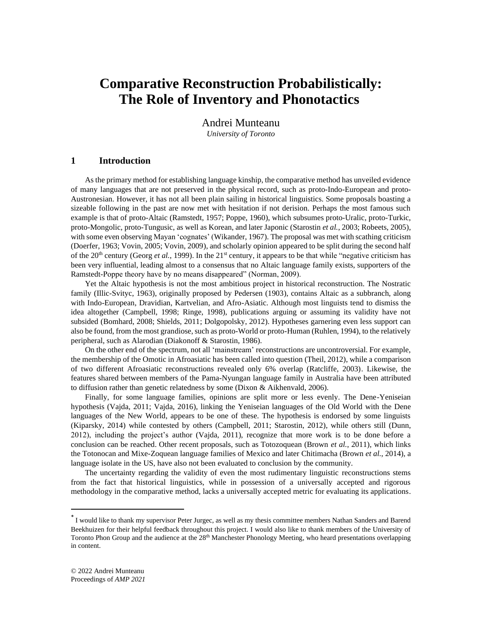# **Comparative Reconstruction Probabilistically: The Role of Inventory and Phonotactics**\*

Andrei Munteanu *University of Toronto*

## **1 Introduction**

As the primary method for establishing language kinship, the comparative method has unveiled evidence of many languages that are not preserved in the physical record, such as proto-Indo-European and proto-Austronesian. However, it has not all been plain sailing in historical linguistics. Some proposals boasting a sizeable following in the past are now met with hesitation if not derision. Perhaps the most famous such example is that of proto-Altaic (Ramstedt, 1957; Poppe, 1960), which subsumes proto-Uralic, proto-Turkic, proto-Mongolic, proto-Tungusic, as well as Korean, and later Japonic (Starostin *et al.*, 2003; Robeets, 2005), with some even observing Mayan 'cognates' (Wikander, 1967). The proposal was met with scathing criticism (Doerfer, 1963; Vovin, 2005; Vovin, 2009), and scholarly opinion appeared to be split during the second half of the 20<sup>th</sup> century (Georg *et al.*, 1999). In the 21<sup>st</sup> century, it appears to be that while "negative criticism has been very influential, leading almost to a consensus that no Altaic language family exists, supporters of the Ramstedt-Poppe theory have by no means disappeared" (Norman, 2009).

Yet the Altaic hypothesis is not the most ambitious project in historical reconstruction. The Nostratic family (Illic-Svityc, 1963), originally proposed by Pedersen (1903), contains Altaic as a subbranch, along with Indo-European, Dravidian, Kartvelian, and Afro-Asiatic. Although most linguists tend to dismiss the idea altogether (Campbell, 1998; Ringe, 1998), publications arguing or assuming its validity have not subsided (Bomhard, 2008; Shields, 2011; Dolgopolsky, 2012). Hypotheses garnering even less support can also be found, from the most grandiose, such as proto-World or proto-Human (Ruhlen, 1994), to the relatively peripheral, such as Alarodian (Diakonoff & Starostin, 1986).

On the other end of the spectrum, not all 'mainstream' reconstructions are uncontroversial. For example, the membership of the Omotic in Afroasiatic has been called into question (Theil, 2012), while a comparison of two different Afroasiatic reconstructions revealed only 6% overlap (Ratcliffe, 2003). Likewise, the features shared between members of the Pama-Nyungan language family in Australia have been attributed to diffusion rather than genetic relatedness by some (Dixon & Aikhenvald, 2006).

Finally, for some language families, opinions are split more or less evenly. The Dene-Yeniseian hypothesis (Vajda, 2011; Vajda, 2016), linking the Yeniseian languages of the Old World with the Dene languages of the New World, appears to be one of these. The hypothesis is endorsed by some linguists (Kiparsky, 2014) while contested by others (Campbell, 2011; Starostin, 2012), while others still (Dunn, 2012), including the project's author (Vajda, 2011), recognize that more work is to be done before a conclusion can be reached. Other recent proposals, such as Totozoquean (Brown *et al.*, 2011), which links the Totonocan and Mixe-Zoquean language families of Mexico and later Chitimacha (Brown *et al.*, 2014), a language isolate in the US, have also not been evaluated to conclusion by the community.

The uncertainty regarding the validity of even the most rudimentary linguistic reconstructions stems from the fact that historical linguistics, while in possession of a universally accepted and rigorous methodology in the comparative method, lacks a universally accepted metric for evaluating its applications.

<sup>\*</sup> I would like to thank my supervisor Peter Jurgec, as well as my thesis committee members Nathan Sanders and Barend Beekhuizen for their helpful feedback throughout this project. I would also like to thank members of the University of Toronto Phon Group and the audience at the  $28<sup>th</sup>$  Manchester Phonology Meeting, who heard presentations overlapping in content.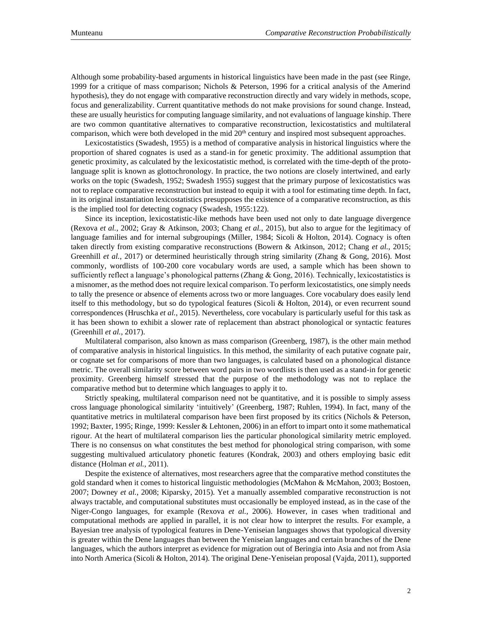Although some probability-based arguments in historical linguistics have been made in the past (see Ringe, 1999 for a critique of mass comparison; Nichols & Peterson, 1996 for a critical analysis of the Amerind hypothesis), they do not engage with comparative reconstruction directly and vary widely in methods, scope, focus and generalizability. Current quantitative methods do not make provisions for sound change. Instead, these are usually heuristics for computing language similarity, and not evaluations of language kinship. There are two common quantitative alternatives to comparative reconstruction, lexicostatistics and multilateral comparison, which were both developed in the mid  $20<sup>th</sup>$  century and inspired most subsequent approaches.

Lexicostatistics (Swadesh, 1955) is a method of comparative analysis in historical linguistics where the proportion of shared cognates is used as a stand-in for genetic proximity. The additional assumption that genetic proximity, as calculated by the lexicostatistic method, is correlated with the time-depth of the protolanguage split is known as glottochronology. In practice, the two notions are closely intertwined, and early works on the topic (Swadesh, 1952; Swadesh 1955) suggest that the primary purpose of lexicostatistics was not to replace comparative reconstruction but instead to equip it with a tool for estimating time depth. In fact, in its original instantiation lexicostatistics presupposes the existence of a comparative reconstruction, as this is the implied tool for detecting cognacy (Swadesh, 1955:122).

Since its inception, lexicostatistic-like methods have been used not only to date language divergence (Rexova *et al.*, 2002; Gray & Atkinson, 2003; Chang *et al.*, 2015), but also to argue for the legitimacy of language families and for internal subgroupings (Miller, 1984; Sicoli & Holton, 2014). Cognacy is often taken directly from existing comparative reconstructions (Bowern & Atkinson, 2012; Chang *et al.*, 2015; Greenhill *et al.*, 2017) or determined heuristically through string similarity (Zhang & Gong, 2016). Most commonly, wordlists of 100-200 core vocabulary words are used, a sample which has been shown to sufficiently reflect a language's phonological patterns (Zhang & Gong, 2016). Technically, lexicostatistics is a misnomer, as the method does not require lexical comparison. To perform lexicostatistics, one simply needs to tally the presence or absence of elements across two or more languages. Core vocabulary does easily lend itself to this methodology, but so do typological features (Sicoli & Holton, 2014), or even recurrent sound correspondences (Hruschka *et al.*, 2015). Nevertheless, core vocabulary is particularly useful for this task as it has been shown to exhibit a slower rate of replacement than abstract phonological or syntactic features (Greenhill *et al.*, 2017).

Multilateral comparison, also known as mass comparison (Greenberg, 1987), is the other main method of comparative analysis in historical linguistics. In this method, the similarity of each putative cognate pair, or cognate set for comparisons of more than two languages, is calculated based on a phonological distance metric. The overall similarity score between word pairs in two wordlists is then used as a stand-in for genetic proximity. Greenberg himself stressed that the purpose of the methodology was not to replace the comparative method but to determine which languages to apply it to.

Strictly speaking, multilateral comparison need not be quantitative, and it is possible to simply assess cross language phonological similarity 'intuitively' (Greenberg, 1987; Ruhlen, 1994). In fact, many of the quantitative metrics in multilateral comparison have been first proposed by its critics (Nichols & Peterson, 1992; Baxter, 1995; Ringe, 1999: Kessler & Lehtonen, 2006) in an effort to impart onto it some mathematical rigour. At the heart of multilateral comparison lies the particular phonological similarity metric employed. There is no consensus on what constitutes the best method for phonological string comparison, with some suggesting multivalued articulatory phonetic features (Kondrak, 2003) and others employing basic edit distance (Holman *et al.*, 2011).

Despite the existence of alternatives, most researchers agree that the comparative method constitutes the gold standard when it comes to historical linguistic methodologies (McMahon & McMahon, 2003; Bostoen, 2007; Downey *et al.*, 2008; Kiparsky, 2015). Yet a manually assembled comparative reconstruction is not always tractable, and computational substitutes must occasionally be employed instead, as in the case of the Niger-Congo languages, for example (Rexova *et al.*, 2006). However, in cases when traditional and computational methods are applied in parallel, it is not clear how to interpret the results. For example, a Bayesian tree analysis of typological features in Dene-Yeniseian languages shows that typological diversity is greater within the Dene languages than between the Yeniseian languages and certain branches of the Dene languages, which the authors interpret as evidence for migration out of Beringia into Asia and not from Asia into North America (Sicoli & Holton, 2014). The original Dene-Yeniseian proposal (Vajda, 2011), supported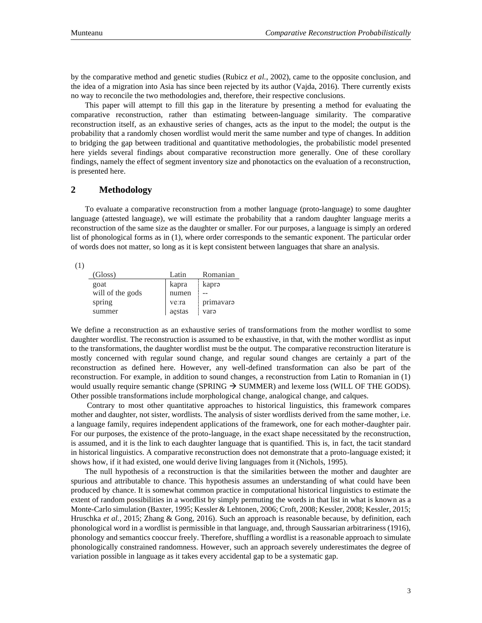by the comparative method and genetic studies (Rubicz *et al.*, 2002), came to the opposite conclusion, and the idea of a migration into Asia has since been rejected by its author (Vajda, 2016). There currently exists no way to reconcile the two methodologies and, therefore, their respective conclusions.

This paper will attempt to fill this gap in the literature by presenting a method for evaluating the comparative reconstruction, rather than estimating between-language similarity. The comparative reconstruction itself, as an exhaustive series of changes, acts as the input to the model; the output is the probability that a randomly chosen wordlist would merit the same number and type of changes. In addition to bridging the gap between traditional and quantitative methodologies, the probabilistic model presented here yields several findings about comparative reconstruction more generally. One of these corollary findings, namely the effect of segment inventory size and phonotactics on the evaluation of a reconstruction, is presented here.

## **2 Methodology**

To evaluate a comparative reconstruction from a mother language (proto-language) to some daughter language (attested language), we will estimate the probability that a random daughter language merits a reconstruction of the same size as the daughter or smaller. For our purposes, a language is simply an ordered list of phonological forms as in (1), where order corresponds to the semantic exponent. The particular order of words does not matter, so long as it is kept consistent between languages that share an analysis.

| (Gloss)          | Latin  | Romanian  |
|------------------|--------|-----------|
| goat             | kapra  | kapra     |
| will of the gods | numen  |           |
| spring           | ve:ra  | primavara |
| summer           | aestas | varə      |

We define a reconstruction as an exhaustive series of transformations from the mother wordlist to some daughter wordlist. The reconstruction is assumed to be exhaustive, in that, with the mother wordlist as input to the transformations, the daughter wordlist must be the output. The comparative reconstruction literature is mostly concerned with regular sound change, and regular sound changes are certainly a part of the reconstruction as defined here. However, any well-defined transformation can also be part of the reconstruction. For example, in addition to sound changes, a reconstruction from Latin to Romanian in (1) would usually require semantic change (SPRING  $\rightarrow$  SUMMER) and lexeme loss (WILL OF THE GODS). Other possible transformations include morphological change, analogical change, and calques.

Contrary to most other quantitative approaches to historical linguistics, this framework compares mother and daughter, not sister, wordlists. The analysis of sister wordlists derived from the same mother, i.e. a language family, requires independent applications of the framework, one for each mother-daughter pair. For our purposes, the existence of the proto-language, in the exact shape necessitated by the reconstruction, is assumed, and it is the link to each daughter language that is quantified. This is, in fact, the tacit standard in historical linguistics. A comparative reconstruction does not demonstrate that a proto-language existed; it shows how, if it had existed, one would derive living languages from it (Nichols, 1995).

The null hypothesis of a reconstruction is that the similarities between the mother and daughter are spurious and attributable to chance. This hypothesis assumes an understanding of what could have been produced by chance. It is somewhat common practice in computational historical linguistics to estimate the extent of random possibilities in a wordlist by simply permuting the words in that list in what is known as a Monte-Carlo simulation (Baxter, 1995; Kessler & Lehtonen, 2006; Croft, 2008; Kessler, 2008; Kessler, 2015; Hruschka *et al.*, 2015; Zhang & Gong, 2016). Such an approach is reasonable because, by definition, each phonological word in a wordlist is permissible in that language, and, through Saussarian arbitrariness (1916), phonology and semantics cooccur freely. Therefore, shuffling a wordlist is a reasonable approach to simulate phonologically constrained randomness. However, such an approach severely underestimates the degree of variation possible in language as it takes every accidental gap to be a systematic gap.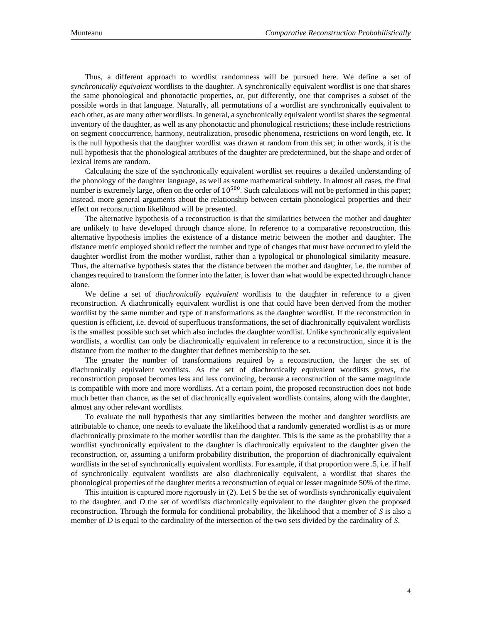Thus, a different approach to wordlist randomness will be pursued here. We define a set of *synchronically equivalent* wordlists to the daughter. A synchronically equivalent wordlist is one that shares the same phonological and phonotactic properties, or, put differently, one that comprises a subset of the possible words in that language. Naturally, all permutations of a wordlist are synchronically equivalent to each other, as are many other wordlists. In general, a synchronically equivalent wordlist shares the segmental inventory of the daughter, as well as any phonotactic and phonological restrictions; these include restrictions on segment cooccurrence, harmony, neutralization, prosodic phenomena, restrictions on word length, etc. It is the null hypothesis that the daughter wordlist was drawn at random from this set; in other words, it is the null hypothesis that the phonological attributes of the daughter are predetermined, but the shape and order of lexical items are random.

Calculating the size of the synchronically equivalent wordlist set requires a detailed understanding of the phonology of the daughter language, as well as some mathematical subtlety. In almost all cases, the final number is extremely large, often on the order of 10<sup>500</sup>. Such calculations will not be performed in this paper; instead, more general arguments about the relationship between certain phonological properties and their effect on reconstruction likelihood will be presented.

The alternative hypothesis of a reconstruction is that the similarities between the mother and daughter are unlikely to have developed through chance alone. In reference to a comparative reconstruction, this alternative hypothesis implies the existence of a distance metric between the mother and daughter. The distance metric employed should reflect the number and type of changes that must have occurred to yield the daughter wordlist from the mother wordlist, rather than a typological or phonological similarity measure. Thus, the alternative hypothesis states that the distance between the mother and daughter, i.e. the number of changes required to transform the former into the latter, is lower than what would be expected through chance alone.

We define a set of *diachronically equivalent* wordlists to the daughter in reference to a given reconstruction. A diachronically equivalent wordlist is one that could have been derived from the mother wordlist by the same number and type of transformations as the daughter wordlist. If the reconstruction in question is efficient, i.e. devoid of superfluous transformations, the set of diachronically equivalent wordlists is the smallest possible such set which also includes the daughter wordlist. Unlike synchronically equivalent wordlists, a wordlist can only be diachronically equivalent in reference to a reconstruction, since it is the distance from the mother to the daughter that defines membership to the set.

The greater the number of transformations required by a reconstruction, the larger the set of diachronically equivalent wordlists. As the set of diachronically equivalent wordlists grows, the reconstruction proposed becomes less and less convincing, because a reconstruction of the same magnitude is compatible with more and more wordlists. At a certain point, the proposed reconstruction does not bode much better than chance, as the set of diachronically equivalent wordlists contains, along with the daughter, almost any other relevant wordlists.

To evaluate the null hypothesis that any similarities between the mother and daughter wordlists are attributable to chance, one needs to evaluate the likelihood that a randomly generated wordlist is as or more diachronically proximate to the mother wordlist than the daughter. This is the same as the probability that a wordlist synchronically equivalent to the daughter is diachronically equivalent to the daughter given the reconstruction, or, assuming a uniform probability distribution, the proportion of diachronically equivalent wordlists in the set of synchronically equivalent wordlists. For example, if that proportion were .5, i.e. if half of synchronically equivalent wordlists are also diachronically equivalent, a wordlist that shares the phonological properties of the daughter merits a reconstruction of equal or lesser magnitude 50% of the time.

This intuition is captured more rigorously in (2). Let *S* be the set of wordlists synchronically equivalent to the daughter, and *D* the set of wordlists diachronically equivalent to the daughter given the proposed reconstruction. Through the formula for conditional probability, the likelihood that a member of *S* is also a member of *D* is equal to the cardinality of the intersection of the two sets divided by the cardinality of *S*.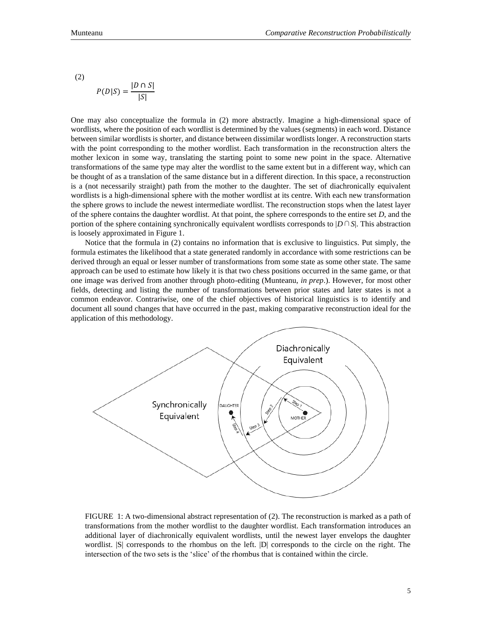(2)

$$
P(D|S) = \frac{|D \cap S|}{|S|}
$$

One may also conceptualize the formula in (2) more abstractly. Imagine a high-dimensional space of wordlists, where the position of each wordlist is determined by the values (segments) in each word. Distance between similar wordlists is shorter, and distance between dissimilar wordlists longer. A reconstruction starts with the point corresponding to the mother wordlist. Each transformation in the reconstruction alters the mother lexicon in some way, translating the starting point to some new point in the space. Alternative transformations of the same type may alter the wordlist to the same extent but in a different way, which can be thought of as a translation of the same distance but in a different direction. In this space, a reconstruction is a (not necessarily straight) path from the mother to the daughter. The set of diachronically equivalent wordlists is a high-dimensional sphere with the mother wordlist at its centre. With each new transformation the sphere grows to include the newest intermediate wordlist. The reconstruction stops when the latest layer of the sphere contains the daughter wordlist. At that point, the sphere corresponds to the entire set *D*, and the portion of the sphere containing synchronically equivalent wordlists corresponds to |*D*∩*S*|. This abstraction is loosely approximated in Figure 1.

Notice that the formula in (2) contains no information that is exclusive to linguistics. Put simply, the formula estimates the likelihood that a state generated randomly in accordance with some restrictions can be derived through an equal or lesser number of transformations from some state as some other state. The same approach can be used to estimate how likely it is that two chess positions occurred in the same game, or that one image was derived from another through photo-editing (Munteanu, *in prep*.). However, for most other fields, detecting and listing the number of transformations between prior states and later states is not a common endeavor. Contrariwise, one of the chief objectives of historical linguistics is to identify and document all sound changes that have occurred in the past, making comparative reconstruction ideal for the application of this methodology.



FIGURE 1: A two-dimensional abstract representation of (2). The reconstruction is marked as a path of transformations from the mother wordlist to the daughter wordlist. Each transformation introduces an additional layer of diachronically equivalent wordlists, until the newest layer envelops the daughter wordlist. |S| corresponds to the rhombus on the left. |D| corresponds to the circle on the right. The intersection of the two sets is the 'slice' of the rhombus that is contained within the circle.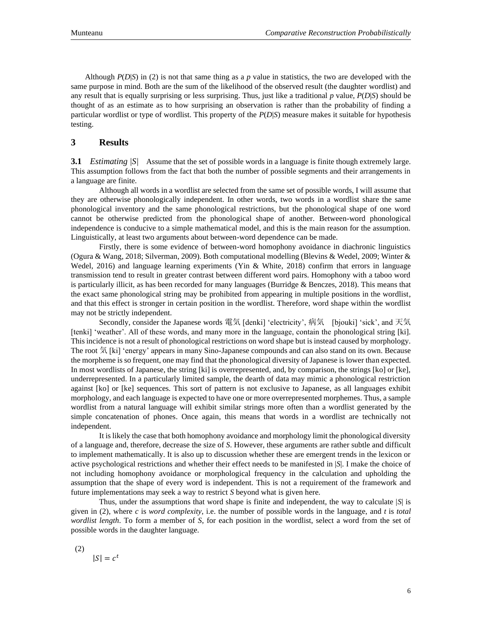Although *P*(*D*|*S*) in (2) is not that same thing as a *p* value in statistics, the two are developed with the same purpose in mind. Both are the sum of the likelihood of the observed result (the daughter wordlist) and any result that is equally surprising or less surprising. Thus, just like a traditional *p* value, *P*(*D*|*S*) should be thought of as an estimate as to how surprising an observation is rather than the probability of finding a particular wordlist or type of wordlist. This property of the *P*(*D*|*S*) measure makes it suitable for hypothesis testing.

# **3 Results**

**3.1** *Estimating |S|* Assume that the set of possible words in a language is finite though extremely large. This assumption follows from the fact that both the number of possible segments and their arrangements in a language are finite.

Although all words in a wordlist are selected from the same set of possible words, I will assume that they are otherwise phonologically independent. In other words, two words in a wordlist share the same phonological inventory and the same phonological restrictions, but the phonological shape of one word cannot be otherwise predicted from the phonological shape of another. Between-word phonological independence is conducive to a simple mathematical model, and this is the main reason for the assumption. Linguistically, at least two arguments about between-word dependence can be made.

Firstly, there is some evidence of between-word homophony avoidance in diachronic linguistics (Ogura & Wang, 2018; Silverman, 2009). Both computational modelling (Blevins & Wedel, 2009; Winter & Wedel, 2016) and language learning experiments (Yin & White, 2018) confirm that errors in language transmission tend to result in greater contrast between different word pairs. Homophony with a taboo word is particularly illicit, as has been recorded for many languages (Burridge  $&$  Benczes, 2018). This means that the exact same phonological string may be prohibited from appearing in multiple positions in the wordlist, and that this effect is stronger in certain position in the wordlist. Therefore, word shape within the wordlist may not be strictly independent.

Secondly, consider the Japanese words 電気 [denki] 'electricity', 病気 [bjouki] 'sick', and 天気 [tenki] 'weather'. All of these words, and many more in the language, contain the phonological string [ki]. This incidence is not a result of phonological restrictions on word shape but is instead caused by morphology. The root 気 [ki] 'energy' appears in many Sino-Japanese compounds and can also stand on its own. Because the morpheme is so frequent, one may find that the phonological diversity of Japanese is lower than expected. In most wordlists of Japanese, the string [ki] is overrepresented, and, by comparison, the strings [ko] or [ke], underrepresented. In a particularly limited sample, the dearth of data may mimic a phonological restriction against [ko] or [ke] sequences. This sort of pattern is not exclusive to Japanese, as all languages exhibit morphology, and each language is expected to have one or more overrepresented morphemes. Thus, a sample wordlist from a natural language will exhibit similar strings more often than a wordlist generated by the simple concatenation of phones. Once again, this means that words in a wordlist are technically not independent.

It is likely the case that both homophony avoidance and morphology limit the phonological diversity of a language and, therefore, decrease the size of *S*. However, these arguments are rather subtle and difficult to implement mathematically. It is also up to discussion whether these are emergent trends in the lexicon or active psychological restrictions and whether their effect needs to be manifested in |*S*|. I make the choice of not including homophony avoidance or morphological frequency in the calculation and upholding the assumption that the shape of every word is independent. This is not a requirement of the framework and future implementations may seek a way to restrict *S* beyond what is given here.

Thus, under the assumptions that word shape is finite and independent, the way to calculate |*S*| is given in  $(2)$ , where *c* is *word complexity*, i.e. the number of possible words in the language, and *t* is *total wordlist length*. To form a member of *S*, for each position in the wordlist, select a word from the set of possible words in the daughter language.

(2)

 $|S| = c^t$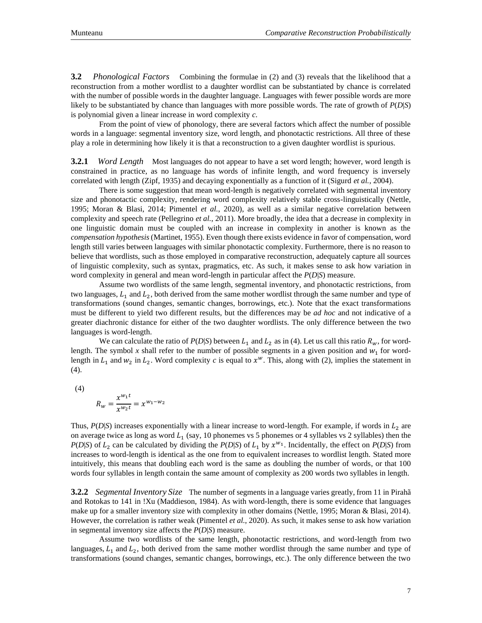**3.2** *Phonological Factors* Combining the formulae in (2) and (3) reveals that the likelihood that a reconstruction from a mother wordlist to a daughter wordlist can be substantiated by chance is correlated with the number of possible words in the daughter language. Languages with fewer possible words are more likely to be substantiated by chance than languages with more possible words. The rate of growth of *P*(*D*|*S*) is polynomial given a linear increase in word complexity *c*.

From the point of view of phonology, there are several factors which affect the number of possible words in a language: segmental inventory size, word length, and phonotactic restrictions. All three of these play a role in determining how likely it is that a reconstruction to a given daughter wordlist is spurious.

**3.2.1** *Word Length* Most languages do not appear to have a set word length; however, word length is constrained in practice, as no language has words of infinite length, and word frequency is inversely correlated with length (Zipf, 1935) and decaying exponentially as a function of it (Sigurd *et al.*, 2004).

There is some suggestion that mean word-length is negatively correlated with segmental inventory size and phonotactic complexity, rendering word complexity relatively stable cross-linguistically (Nettle, 1995; Moran & Blasi, 2014; Pimentel *et al.*, 2020), as well as a similar negative correlation between complexity and speech rate (Pellegrino *et al.*, 2011). More broadly, the idea that a decrease in complexity in one linguistic domain must be coupled with an increase in complexity in another is known as the *compensation hypothesis* (Martinet, 1955). Even though there exists evidence in favor of compensation, word length still varies between languages with similar phonotactic complexity. Furthermore, there is no reason to believe that wordlists, such as those employed in comparative reconstruction, adequately capture all sources of linguistic complexity, such as syntax, pragmatics, etc. As such, it makes sense to ask how variation in word complexity in general and mean word-length in particular affect the *P*(*D*|*S*) measure.

Assume two wordlists of the same length, segmental inventory, and phonotactic restrictions, from two languages,  $L_1$  and  $L_2$ , both derived from the same mother wordlist through the same number and type of transformations (sound changes, semantic changes, borrowings, etc.). Note that the exact transformations must be different to yield two different results, but the differences may be *ad hoc* and not indicative of a greater diachronic distance for either of the two daughter wordlists. The only difference between the two languages is word-length.

We can calculate the ratio of  $P(D|S)$  between  $L_1$  and  $L_2$  as in (4). Let us call this ratio  $R_w$ , for wordlength. The symbol  $x$  shall refer to the number of possible segments in a given position and  $w_1$  for wordlength in  $L_1$  and  $w_2$  in  $L_2$ . Word complexity *c* is equal to  $x^w$ . This, along with (2), implies the statement in (4).

(4)

$$
R_w = \frac{x^{w_1 t}}{x^{w_2 t}} = x^{w_1 - w_2}
$$

Thus,  $P(D|S)$  increases exponentially with a linear increase to word-length. For example, if words in  $L_2$  are on average twice as long as word  $L_1$  (say, 10 phonemes vs 5 phonemes or 4 syllables vs 2 syllables) then the *P*(*D*|*S*) of  $L_2$  can be calculated by dividing the *P*(*D*|*S*) of  $L_1$  by  $x^{w_1}$ . Incidentally, the effect on *P*(*D*|*S*) from increases to word-length is identical as the one from to equivalent increases to wordlist length. Stated more intuitively, this means that doubling each word is the same as doubling the number of words, or that 100 words four syllables in length contain the same amount of complexity as 200 words two syllables in length.

**3.2.2** *Segmental Inventory Size* The number of segments in a language varies greatly, from 11 in Pirahã and Rotokas to 141 in !Xu (Maddieson, 1984). As with word-length, there is some evidence that languages make up for a smaller inventory size with complexity in other domains (Nettle, 1995; Moran & Blasi, 2014). However, the correlation is rather weak (Pimentel *et al.*, 2020). As such, it makes sense to ask how variation in segmental inventory size affects the *P*(*D*|*S*) measure.

Assume two wordlists of the same length, phonotactic restrictions, and word-length from two languages,  $L_1$  and  $L_2$ , both derived from the same mother wordlist through the same number and type of transformations (sound changes, semantic changes, borrowings, etc.). The only difference between the two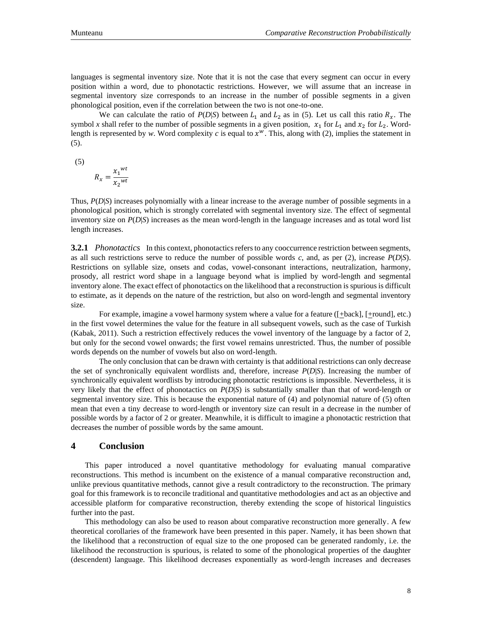languages is segmental inventory size. Note that it is not the case that every segment can occur in every position within a word, due to phonotactic restrictions. However, we will assume that an increase in segmental inventory size corresponds to an increase in the number of possible segments in a given phonological position, even if the correlation between the two is not one-to-one.

We can calculate the ratio of  $P(D|S)$  between  $L_1$  and  $L_2$  as in (5). Let us call this ratio  $R_x$ . The symbol x shall refer to the number of possible segments in a given position,  $x_1$  for  $L_1$  and  $x_2$  for  $L_2$ . Wordlength is represented by *w*. Word complexity  $c$  is equal to  $x^w$ . This, along with (2), implies the statement in (5).

(5)

$$
R_x = \frac{{x_1}^{wt}}{x_2^{wt}}
$$

Thus, *P*(*D*|*S*) increases polynomially with a linear increase to the average number of possible segments in a phonological position, which is strongly correlated with segmental inventory size. The effect of segmental inventory size on *P*(*D*|*S*) increases as the mean word-length in the language increases and as total word list length increases.

**3.2.1** *Phonotactics* In this context, phonotactics refers to any cooccurrence restriction between segments, as all such restrictions serve to reduce the number of possible words *c*, and, as per (2), increase  $P(D|S)$ . Restrictions on syllable size, onsets and codas, vowel-consonant interactions, neutralization, harmony, prosody, all restrict word shape in a language beyond what is implied by word-length and segmental inventory alone. The exact effect of phonotactics on the likelihood that a reconstruction is spurious is difficult to estimate, as it depends on the nature of the restriction, but also on word-length and segmental inventory size.

For example, imagine a vowel harmony system where a value for a feature  $([\pm \text{back}], [\pm \text{round}], \text{etc.})$ in the first vowel determines the value for the feature in all subsequent vowels, such as the case of Turkish (Kabak, 2011). Such a restriction effectively reduces the vowel inventory of the language by a factor of 2, but only for the second vowel onwards; the first vowel remains unrestricted. Thus, the number of possible words depends on the number of vowels but also on word-length.

The only conclusion that can be drawn with certainty is that additional restrictions can only decrease the set of synchronically equivalent wordlists and, therefore, increase *P*(*D*|*S*). Increasing the number of synchronically equivalent wordlists by introducing phonotactic restrictions is impossible. Nevertheless, it is very likely that the effect of phonotactics on *P*(*D*|*S*) is substantially smaller than that of word-length or segmental inventory size. This is because the exponential nature of (4) and polynomial nature of (5) often mean that even a tiny decrease to word-length or inventory size can result in a decrease in the number of possible words by a factor of 2 or greater. Meanwhile, it is difficult to imagine a phonotactic restriction that decreases the number of possible words by the same amount.

### **4 Conclusion**

This paper introduced a novel quantitative methodology for evaluating manual comparative reconstructions. This method is incumbent on the existence of a manual comparative reconstruction and, unlike previous quantitative methods, cannot give a result contradictory to the reconstruction. The primary goal for this framework is to reconcile traditional and quantitative methodologies and act as an objective and accessible platform for comparative reconstruction, thereby extending the scope of historical linguistics further into the past.

This methodology can also be used to reason about comparative reconstruction more generally. A few theoretical corollaries of the framework have been presented in this paper. Namely, it has been shown that the likelihood that a reconstruction of equal size to the one proposed can be generated randomly, i.e. the likelihood the reconstruction is spurious, is related to some of the phonological properties of the daughter (descendent) language. This likelihood decreases exponentially as word-length increases and decreases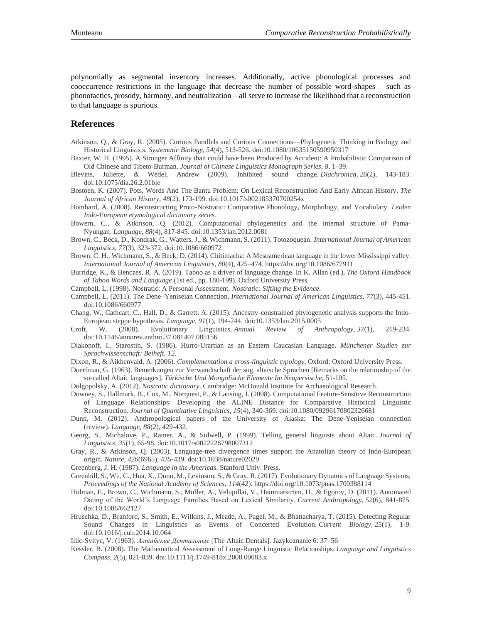polynomially as segmental inventory increases. Additionally, active phonological processes and cooccurrence restrictions in the language that decrease the number of possible word-shapes – such as phonotactics, prosody, harmony, and neutralization – all serve to increase the likelihood that a reconstruction to that language is spurious.

### **References**

- Atkinson, Q., & Gray, R. (2005). Curious Parallels and Curious Connections—Phylogenetic Thinking in Biology and Historical Linguistics. *Systematic Biology, 54*(4), 513-526. doi:10.1080/10635150590950317
- Baxter, W. H. (1995). A Stronger Affinity than could have been Produced by Accident: A Probabilistic Comparison of Old Chinese and Tibeto-Burman. *Journal of Chinese Linguistics Monograph Series*, *8*, 1–39.
- Blevins, Juliette, & Wedel, Andrew (2009). Inhibited sound change. *Diachronica, 26*(2), 143-183. doi:10.1075/dia.26.2.01ble
- Bostoen, K. (2007). Pots, Words And The Bantu Problem: On Lexical Reconstruction And Early African History. *The Journal of African History, 48*(2), 173-199. doi:10.1017/s002185370700254x
- Bomhard, A. (2008). Reconstructing Proto-Nostratic: Comparative Phonology, Morphology, and Vocabulary. *Leiden Indo-European etymological dictionary series.*
- Bowern, C., & Atkinson, Q. (2012). Computational phylogenetics and the internal structure of Pama-Nyungan. *Language, 88*(4), 817-845. doi:10.1353/lan.2012.0081
- Brown, C., Beck, D., Kondrak, G., Watters, J., & Wichmann, S. (2011). Totozoquean. *International Journal of American Linguistics, 77*(3), 323-372. doi:10.1086/660972
- Brown, C. H., Wichmann, S., & Beck, D. (2014). Chitimacha: A Mesoamerican language in the lower Mississippi valley. *International Journal of American Linguistics*, *80*(4), 425–474. https://doi.org/10.1086/677911
- Burridge, K., & Benczes, R. A. (2019). Taboo as a driver of language change. In K. Allan (ed.), *The Oxford Handbook of Taboo Words and Language* (1st ed., pp. 180-199). Oxford University Press.
- Campbell, L. (1998). Nostratic: A Personal Assessment. *Nostratic: Sifting the Evidence*.
- Campbell, L. (2011). The Dene–Yeniseian Connection. *International Journal of American Linguistics, 77*(3), 445-451. doi:10.1086/660977
- Chang, W., Cathcart, C., Hall, D., & Garrett, A. (2015). Ancestry-constrained phylogenetic analysis supports the Indo-European steppe hypothesis. *Language, 91*(1), 194-244. doi:10.1353/lan.2015.0005
- Croft, W. (2008). Evolutionary Linguistics. *Annual Review of Anthropology, 37*(1), 219-234. doi:10.1146/annurev.anthro.37.081407.085156
- Diakonoff, I., Starostin, S. (1986). Hurro-Urartian as an Eastern Caucasian Language. *Münchener Studien zur Sprachwissenschaft: Beiheft*, *12*.

Dixon, R., & Aikhenvald, A. (2006). *Complementation a cross-linguistic typology*. Oxford: Oxford University Press.

- Doerfman, G. (1963). Bemerkungen zur Verwandtschaft der sog. altaische Sprachen [Remarks on the relationship of the so-called Altaic languages]. *Türkische Und Mongolische Elemente Im Neupersische,* 51-105.
- Dolgopolsky, A. (2012). *Nostratic dictionary*. Cambridge: McDonald Institute for Archaeological Research.
- Downey, S., Hallmark, B., Cox, M., Norquest, P., & Lansing, J. (2008). Computational Feature-Sensitive Reconstruction of Language Relationships: Developing the ALINE Distance for Comparative Historical Linguistic Reconstruction. *Journal of Quantitative Linguistics, 15*(4), 340-369. doi:10.1080/09296170802326681
- Dunn, M. (2012). Anthropological papers of the University of Alaska: The Dene-Yeniseian connection (review). *Language, 88*(2), 429-432.
- Georg, S., Michalove, P., Ramer, A., & Sidwell, P. (1999). Telling general linguists about Altaic. *Journal of Linguistics, 35*(1), 65-98. doi:10.1017/s0022226798007312
- Gray, R., & Atkinson, Q. (2003). Language-tree divergence times support the Anatolian theory of Indo-European origin. *Nature, 426*(6965), 435-439. doi:10.1038/nature02029
- Greenberg, J. H. (1987). *Language in the Americas*. Stanford Univ. Press.
- Greenhill, S., Wu, C., Hua, X., Dunn, M., Levinson, S., & Gray, R. (2017). Evolutionary Dynamics of Language Systems. *Proceedings of the National Academy of Sciences*, *114*(42). https://doi.org/10.1073/pnas.1700388114
- Holman, E., Brown, C., Wichmann, S., Müller, A., Velupillai, V., Hammarström, H., & Egorov, D. (2011). Automated Dating of the World's Language Families Based on Lexical Similarity. *Current Anthropology, 52*(6), 841-875. doi:10.1086/662127
- Hruschka, D., Branford, S., Smith, E., Wilkins, J., Meade, A., Pagel, M., & Bhattacharya, T. (2015). Detecting Regular Sound Changes in Linguistics as Events of Concerted Evolution. *Current Biology, 25*(1), 1-9. doi:10.1016/j.cub.2014.10.064
- Illic-Svityc, V. (1963). *Алтайские Дентальные* [The Altaic Dentals]. Jazykoznanie 6: 37–56
- Kessler, B. (2008). The Mathematical Assessment of Long-Range Linguistic Relationships. *Language and Linguistics Compass, 2*(5), 821-839. doi:10.1111/j.1749-818x.2008.00083.x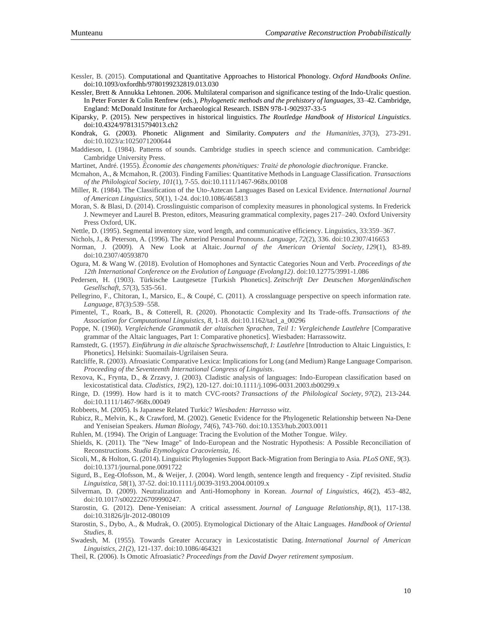Kessler, B. (2015). Computational and Quantitative Approaches to Historical Phonology. *Oxford Handbooks Online*. doi:10.1093/oxfordhb/9780199232819.013.030

[Kessler, Brett](http://spell.psychology.wustl.edu/bkessler.html) & Annukka Lehtonen. 2006. Multilateral comparison and significance testing of the Indo-Uralic question. In [Peter Forster](http://www.murrayedwards.cam.ac.uk/contacts/contactdetails/personal_pages/dr_forster) & [Colin Renfrew](http://www.arch.cam.ac.uk/directory/acr10) (eds.), *[Phylogenetic methods and the prehistory of languages](http://www.oxbowbooks.com/oxbow/phylogenetic-methods-and-the-prehistory-of-languages.html)*, 33–42. Cambridge, England: [McDonald Institute for Archaeological Research.](http://www.mcdonald.cam.ac.uk/) ISBN 978-1-902937-33-5

Kiparsky, P. (2015). New perspectives in historical linguistics. *The Routledge Handbook of Historical Linguistics*. doi:10.4324/9781315794013.ch2

Kondrak, G. (2003). Phonetic Alignment and Similarity. *Computers and the Humanities, 37*(3), 273-291. doi:10.1023/a:1025071200644

Maddieson, I. (1984). Patterns of sounds. Cambridge studies in speech science and communication. Cambridge: Cambridge University Press.

Martinet, André. (1955). *Économie des changements phonétiques: Traité de phonologie diachronique*. Francke.

Mcmahon, A., & Mcmahon, R. (2003). Finding Families: Quantitative Methods in Language Classification. *Transactions of the Philological Society, 101*(1), 7-55. doi:10.1111/1467-968x.00108

Miller, R. (1984). The Classification of the Uto-Aztecan Languages Based on Lexical Evidence. *International Journal of American Linguistics, 50*(1), 1-24. doi:10.1086/465813

Moran, S. & Blasi, D. (2014). Crosslinguistic comparison of complexity measures in phonological systems. In Frederick J. Newmeyer and Laurel B. Preston, editors, Measuring grammatical complexity, pages 217–240. Oxford University Press Oxford, UK.

Nettle, D. (1995). Segmental inventory size, word length, and communicative efficiency. Linguistics, 33:359–367.

Nichols, J., & Peterson, A. (1996). The Amerind Personal Pronouns. *Language, 72*(2), 336. doi:10.2307/416653

- Norman, J. (2009). A New Look at Altaic. *Journal of the American Oriental Society, 129*(1), 83-89. doi:10.2307/40593870
- Ogura, M. & Wang W. (2018). Evolution of Homophones and Syntactic Categories Noun and Verb. *Proceedings of the 12th International Conference on the Evolution of Language (Evolang12)*. doi:10.12775/3991-1.086
- Pedersen, H. (1903). Türkische Lautgesetze [Turkish Phonetics]. *Zeitschrift Der Deutschen Morgenländischen Gesellschaft, 57*(3), 535-561.
- Pellegrino, F., Chitoran, I., Marsico, E., & Coupé, C. (2011). A crosslanguage perspective on speech information rate. *Language*, 87(3):539–558.

Pimentel, T., Roark, B., & Cotterell, R. (2020). Phonotactic Complexity and Its Trade-offs. *Transactions of the Association for Computational Linguistics, 8*, 1-18. doi:10.1162/tacl\_a\_00296

- Poppe, N. (1960). *Vergleichende Grammatik der altaischen Sprachen, Teil 1: Vergleichende Lautlehre* [Comparative grammar of the Altaic languages, Part 1: Comparative phonetics]. Wiesbaden: Harrassowitz.
- Ramstedt, G. (1957). *Einführung in die altaische Sprachwissenschaft, I: Lautlehre* [Introduction to Altaic Linguistics, I: Phonetics]. Helsinki: Suomailais-Ugrilaisen Seura.
- Ratcliffe, R. (2003). Afroasiatic Comparative Lexica: Implications for Long (and Medium) Range Language Comparison. *Proceeding of the Seventeenth International Congress of Linguists*.
- Rexova, K., Frynta, D., & Zrzavy, J. (2003). Cladistic analysis of languages: Indo-European classification based on lexicostatistical data. *Cladistics, 19*(2), 120-127. doi:10.1111/j.1096-0031.2003.tb00299.x
- Ringe, D. (1999). How hard is it to match CVC-roots? *Transactions of the Philological Society, 97*(2), 213-244. doi:10.1111/1467-968x.00049
- Robbeets, M. (2005). Is Japanese Related Turkic? *Wiesbaden: Harrasso witz*.

Rubicz, R., Melvin, K., & Crawford, M. (2002). Genetic Evidence for the Phylogenetic Relationship between Na-Dene and Yeniseian Speakers. *Human Biology, 74*(6), 743-760. doi:10.1353/hub.2003.0011

Ruhlen, M. (1994). The Origin of Language: Tracing the Evolution of the Mother Tongue. *Wiley*.

Shields, K. (2011). The "New Image" of Indo-European and the Nostratic Hypothesis: A Possible Reconciliation of Reconstructions. *Studia Etymologica Cracoviensia, 16*.

Sicoli, M., & Holton, G. (2014). Linguistic Phylogenies Support Back-Migration from Beringia to Asia. *PLoS ONE, 9*(3). doi:10.1371/journal.pone.0091722

Sigurd, B., Eeg-Olofsson, M., & Weijer, J. (2004). Word length, sentence length and frequency - Zipf revisited. *Studia Linguistica, 58*(1), 37-52. doi:10.1111/j.0039-3193.2004.00109.x

- Silverman, D. (2009). Neutralization and Anti-Homophony in Korean. *Journal of Linguistics*, 46(2), 453–482, doi:10.1017/s0022226709990247.
- Starostin, G. (2012). Dene-Yeniseian: A critical assessment. *Journal of Language Relationship, 8*(1), 117-138. doi:10.31826/jlr-2012-080109
- Starostin, S., Dybo, A., & Mudrak, O. (2005). Etymological Dictionary of the Altaic Languages. *Handbook of Oriental Studies*, 8.
- Swadesh, M. (1955). Towards Greater Accuracy in Lexicostatistic Dating. *International Journal of American Linguistics, 21*(2), 121-137. doi:10.1086/464321

Theil, R. (2006). Is Omotic Afroasiatic? *Proceedings from the David Dwyer retirement symposium*.